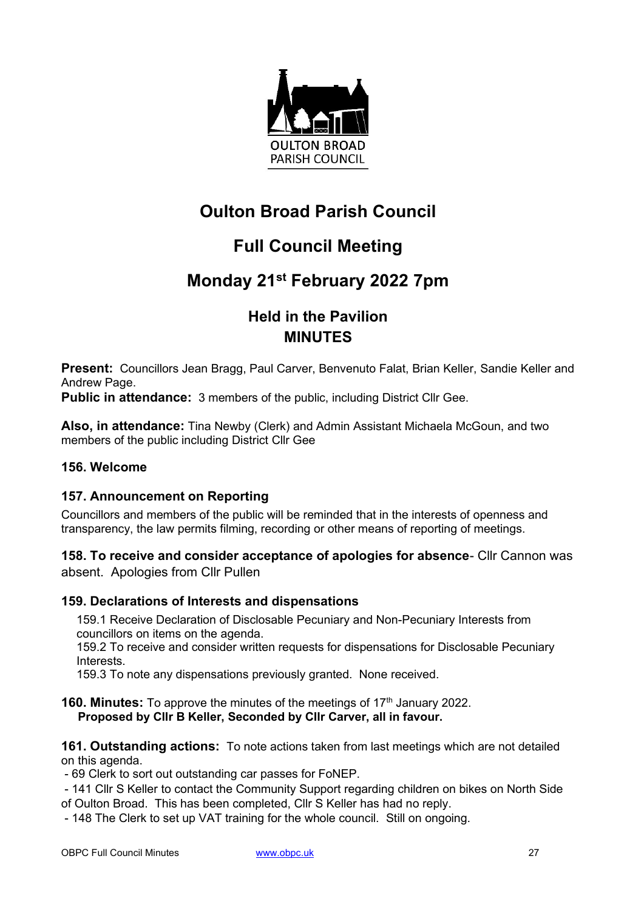

# **Oulton Broad Parish Council**

# **Full Council Meeting**

# **Monday 21st February 2022 7pm**

# **Held in the Pavilion MINUTES**

**Present:** Councillors Jean Bragg, Paul Carver, Benvenuto Falat, Brian Keller, Sandie Keller and Andrew Page.

**Public in attendance:** 3 members of the public, including District Cllr Gee.

**Also, in attendance:** Tina Newby (Clerk) and Admin Assistant Michaela McGoun, and two members of the public including District Cllr Gee

## **156. Welcome**

#### **157. Announcement on Reporting**

Councillors and members of the public will be reminded that in the interests of openness and transparency, the law permits filming, recording or other means of reporting of meetings.

**158. To receive and consider acceptance of apologies for absence**- Cllr Cannon was absent. Apologies from Cllr Pullen

## **159. Declarations of Interests and dispensations**

159.1 Receive Declaration of Disclosable Pecuniary and Non-Pecuniary Interests from councillors on items on the agenda.

159.2 To receive and consider written requests for dispensations for Disclosable Pecuniary Interests.

159.3 To note any dispensations previously granted. None received.

**160. Minutes:** To approve the minutes of the meetings of 17<sup>th</sup> January 2022. **Proposed by Cllr B Keller, Seconded by Cllr Carver, all in favour.**

**161. Outstanding actions:** To note actions taken from last meetings which are not detailed on this agenda.

- 69 Clerk to sort out outstanding car passes for FoNEP.

- 141 Cllr S Keller to contact the Community Support regarding children on bikes on North Side of Oulton Broad. This has been completed, Cllr S Keller has had no reply.
- 148 The Clerk to set up VAT training for the whole council. Still on ongoing.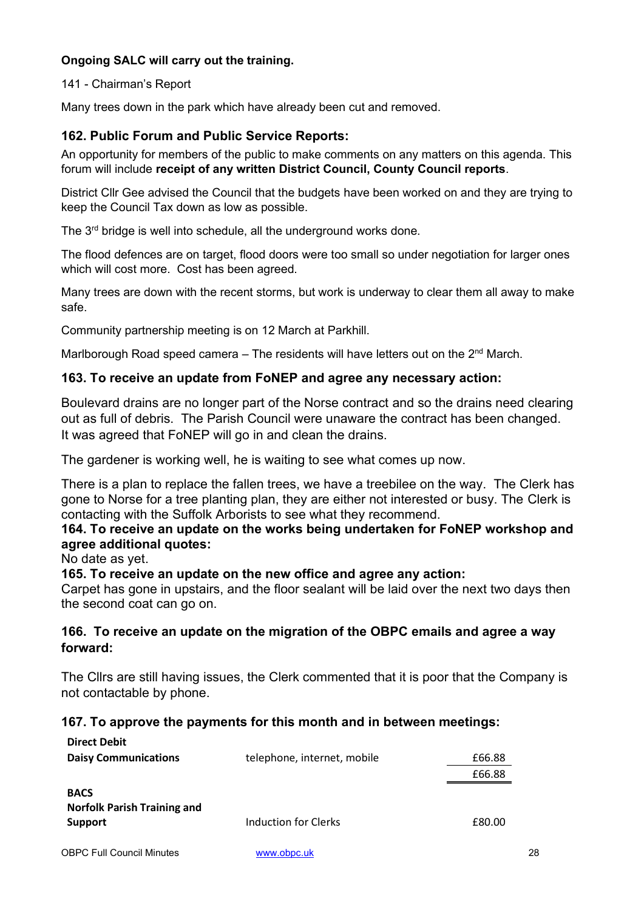# **Ongoing SALC will carry out the training.**

141 - Chairman's Report

Many trees down in the park which have already been cut and removed.

# **162. Public Forum and Public Service Reports:**

An opportunity for members of the public to make comments on any matters on this agenda. This forum will include **receipt of any written District Council, County Council reports**.

District Cllr Gee advised the Council that the budgets have been worked on and they are trying to keep the Council Tax down as low as possible.

The 3<sup>rd</sup> bridge is well into schedule, all the underground works done.

The flood defences are on target, flood doors were too small so under negotiation for larger ones which will cost more. Cost has been agreed.

Many trees are down with the recent storms, but work is underway to clear them all away to make safe.

Community partnership meeting is on 12 March at Parkhill.

Marlborough Road speed camera – The residents will have letters out on the  $2<sup>nd</sup>$  March.

## **163. To receive an update from FoNEP and agree any necessary action:**

Boulevard drains are no longer part of the Norse contract and so the drains need clearing out as full of debris. The Parish Council were unaware the contract has been changed. It was agreed that FoNEP will go in and clean the drains.

The gardener is working well, he is waiting to see what comes up now.

There is a plan to replace the fallen trees, we have a treebilee on the way. The Clerk has gone to Norse for a tree planting plan, they are either not interested or busy. The Clerk is contacting with the Suffolk Arborists to see what they recommend.

# **164. To receive an update on the works being undertaken for FoNEP workshop and agree additional quotes:**

No date as yet.

## **165. To receive an update on the new office and agree any action:**

Carpet has gone in upstairs, and the floor sealant will be laid over the next two days then the second coat can go on.

## **166. To receive an update on the migration of the OBPC emails and agree a way forward:**

The Cllrs are still having issues, the Clerk commented that it is poor that the Company is not contactable by phone.

## **167. To approve the payments for this month and in between meetings:**

| <b>Direct Debit</b>                                          |                             |        |
|--------------------------------------------------------------|-----------------------------|--------|
| <b>Daisy Communications</b>                                  | telephone, internet, mobile | £66.88 |
|                                                              |                             | £66.88 |
| <b>BACS</b><br><b>Norfolk Parish Training and</b><br>Support | <b>Induction for Clerks</b> | £80.00 |
| <b>OBPC Full Council Minutes</b>                             | www.obpc.uk                 | 28     |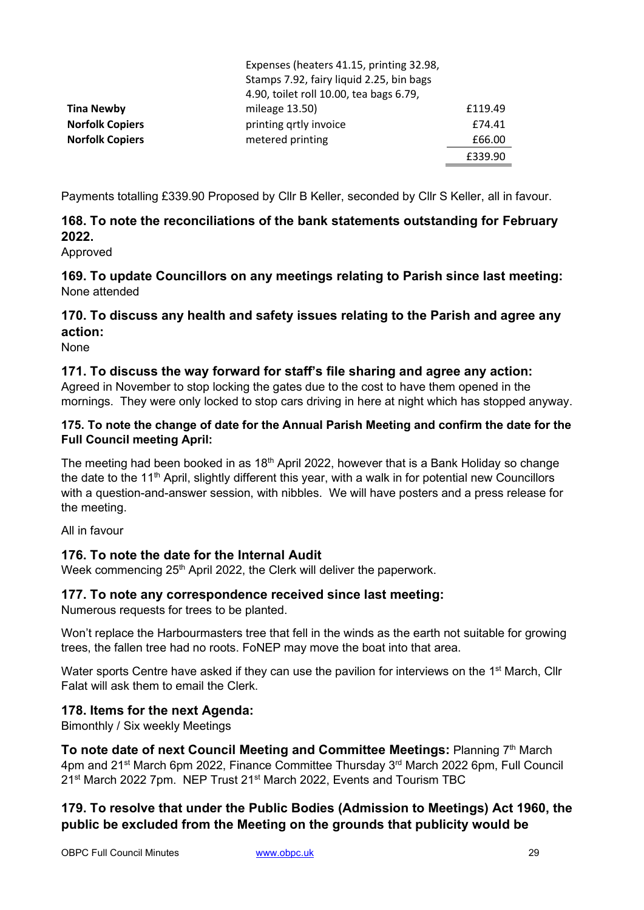|                        | Expenses (heaters 41.15, printing 32.98, |         |  |
|------------------------|------------------------------------------|---------|--|
|                        | Stamps 7.92, fairy liquid 2.25, bin bags |         |  |
|                        | 4.90, toilet roll 10.00, tea bags 6.79,  |         |  |
| <b>Tina Newby</b>      | mileage 13.50)                           | £119.49 |  |
| <b>Norfolk Copiers</b> | printing qrtly invoice                   | £74.41  |  |
| <b>Norfolk Copiers</b> | metered printing                         | £66.00  |  |
|                        |                                          | £339.90 |  |

Payments totalling £339.90 Proposed by Cllr B Keller, seconded by Cllr S Keller, all in favour.

# **168. To note the reconciliations of the bank statements outstanding for February 2022.**

Approved

**169. To update Councillors on any meetings relating to Parish since last meeting:** None attended

# **170. To discuss any health and safety issues relating to the Parish and agree any action:**

None

## **171. To discuss the way forward for staff's file sharing and agree any action:**

Agreed in November to stop locking the gates due to the cost to have them opened in the mornings. They were only locked to stop cars driving in here at night which has stopped anyway.

#### **175. To note the change of date for the Annual Parish Meeting and confirm the date for the Full Council meeting April:**

The meeting had been booked in as  $18<sup>th</sup>$  April 2022, however that is a Bank Holiday so change the date to the 11<sup>th</sup> April, slightly different this year, with a walk in for potential new Councillors with a question-and-answer session, with nibbles. We will have posters and a press release for the meeting.

All in favour

## **176. To note the date for the Internal Audit**

Week commencing 25<sup>th</sup> April 2022, the Clerk will deliver the paperwork.

## **177. To note any correspondence received since last meeting:**

Numerous requests for trees to be planted.

Won't replace the Harbourmasters tree that fell in the winds as the earth not suitable for growing trees, the fallen tree had no roots. FoNEP may move the boat into that area.

Water sports Centre have asked if they can use the pavilion for interviews on the 1<sup>st</sup> March, Cllr Falat will ask them to email the Clerk.

## **178. Items for the next Agenda:**

Bimonthly / Six weekly Meetings

**To note date of next Council Meeting and Committee Meetings: Planning 7th March** 4pm and 21st March 6pm 2022, Finance Committee Thursday 3rd March 2022 6pm, Full Council 21<sup>st</sup> March 2022 7pm. NEP Trust 21<sup>st</sup> March 2022, Events and Tourism TBC

# **179. To resolve that under the Public Bodies (Admission to Meetings) Act 1960, the public be excluded from the Meeting on the grounds that publicity would be**